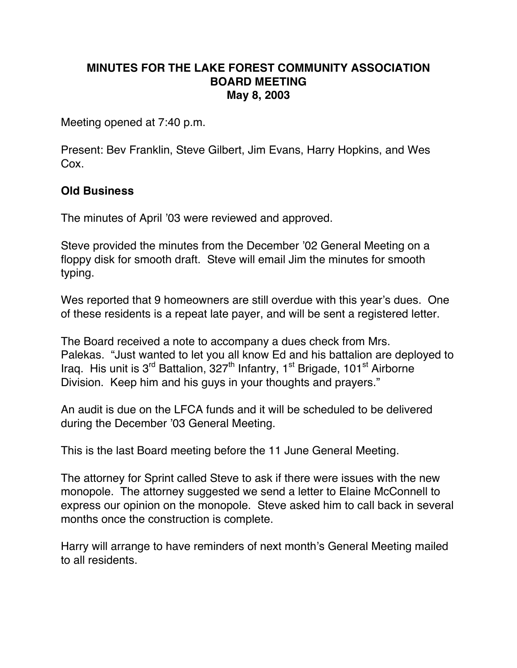## **MINUTES FOR THE LAKE FOREST COMMUNITY ASSOCIATION BOARD MEETING May 8, 2003**

Meeting opened at 7:40 p.m.

Present: Bev Franklin, Steve Gilbert, Jim Evans, Harry Hopkins, and Wes Cox.

## **Old Business**

The minutes of April '03 were reviewed and approved.

Steve provided the minutes from the December '02 General Meeting on a floppy disk for smooth draft. Steve will email Jim the minutes for smooth typing.

Wes reported that 9 homeowners are still overdue with this year's dues. One of these residents is a repeat late payer, and will be sent a registered letter.

The Board received a note to accompany a dues check from Mrs. Palekas. "Just wanted to let you all know Ed and his battalion are deployed to Iraq. His unit is 3<sup>rd</sup> Battalion, 327<sup>th</sup> Infantry, 1<sup>st</sup> Brigade, 101<sup>st</sup> Airborne Division. Keep him and his guys in your thoughts and prayers."

An audit is due on the LFCA funds and it will be scheduled to be delivered during the December '03 General Meeting.

This is the last Board meeting before the 11 June General Meeting.

The attorney for Sprint called Steve to ask if there were issues with the new monopole. The attorney suggested we send a letter to Elaine McConnell to express our opinion on the monopole. Steve asked him to call back in several months once the construction is complete.

Harry will arrange to have reminders of next month's General Meeting mailed to all residents.